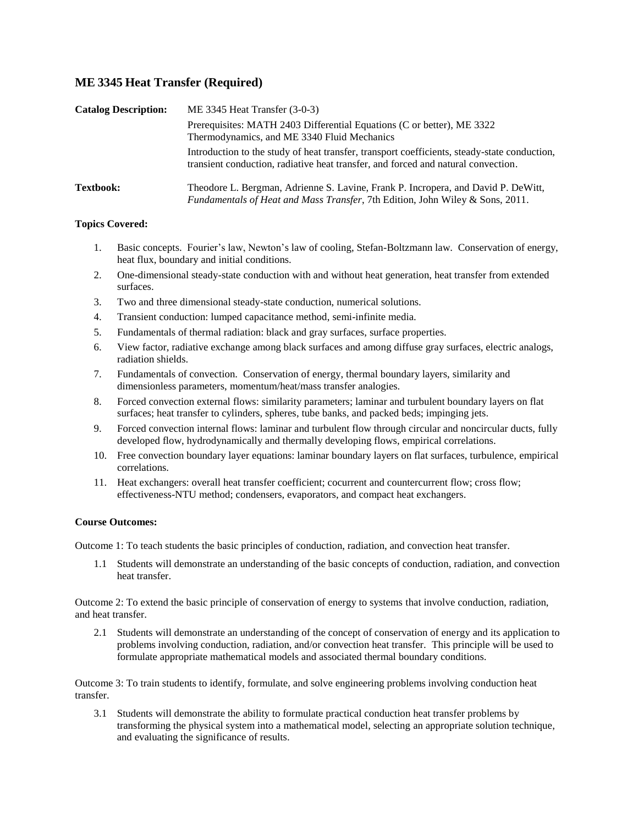# **ME 3345 Heat Transfer (Required)**

| <b>Catalog Description:</b> | ME 3345 Heat Transfer $(3-0-3)$                                                                                                                                                   |  |  |  |  |  |  |
|-----------------------------|-----------------------------------------------------------------------------------------------------------------------------------------------------------------------------------|--|--|--|--|--|--|
|                             | Prerequisites: MATH 2403 Differential Equations (C or better), ME 3322<br>Thermodynamics, and ME 3340 Fluid Mechanics                                                             |  |  |  |  |  |  |
|                             | Introduction to the study of heat transfer, transport coefficients, steady-state conduction,<br>transient conduction, radiative heat transfer, and forced and natural convection. |  |  |  |  |  |  |
| <b>Textbook:</b>            | Theodore L. Bergman, Adrienne S. Lavine, Frank P. Incropera, and David P. DeWitt,<br>Fundamentals of Heat and Mass Transfer, 7th Edition, John Wiley & Sons, 2011.                |  |  |  |  |  |  |

## **Topics Covered:**

- 1. Basic concepts. Fourier's law, Newton's law of cooling, Stefan-Boltzmann law. Conservation of energy, heat flux, boundary and initial conditions.
- 2. One-dimensional steady-state conduction with and without heat generation, heat transfer from extended surfaces.
- 3. Two and three dimensional steady-state conduction, numerical solutions.
- 4. Transient conduction: lumped capacitance method, semi-infinite media.
- 5. Fundamentals of thermal radiation: black and gray surfaces, surface properties.
- 6. View factor, radiative exchange among black surfaces and among diffuse gray surfaces, electric analogs, radiation shields.
- 7. Fundamentals of convection. Conservation of energy, thermal boundary layers, similarity and dimensionless parameters, momentum/heat/mass transfer analogies.
- 8. Forced convection external flows: similarity parameters; laminar and turbulent boundary layers on flat surfaces; heat transfer to cylinders, spheres, tube banks, and packed beds; impinging jets.
- 9. Forced convection internal flows: laminar and turbulent flow through circular and noncircular ducts, fully developed flow, hydrodynamically and thermally developing flows, empirical correlations.
- 10. Free convection boundary layer equations: laminar boundary layers on flat surfaces, turbulence, empirical correlations.
- 11. Heat exchangers: overall heat transfer coefficient; cocurrent and countercurrent flow; cross flow; effectiveness-NTU method; condensers, evaporators, and compact heat exchangers.

#### **Course Outcomes:**

Outcome 1: To teach students the basic principles of conduction, radiation, and convection heat transfer.

1.1 Students will demonstrate an understanding of the basic concepts of conduction, radiation, and convection heat transfer.

Outcome 2: To extend the basic principle of conservation of energy to systems that involve conduction, radiation, and heat transfer.

2.1 Students will demonstrate an understanding of the concept of conservation of energy and its application to problems involving conduction, radiation, and/or convection heat transfer. This principle will be used to formulate appropriate mathematical models and associated thermal boundary conditions.

Outcome 3: To train students to identify, formulate, and solve engineering problems involving conduction heat transfer.

3.1 Students will demonstrate the ability to formulate practical conduction heat transfer problems by transforming the physical system into a mathematical model, selecting an appropriate solution technique, and evaluating the significance of results.